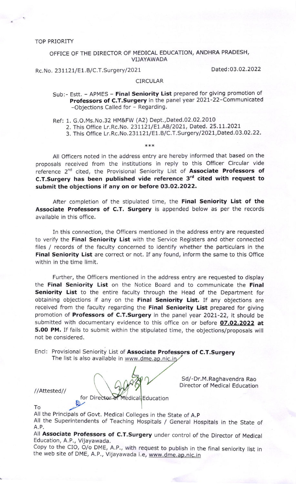TOP PRIORITY

OFFICE OF THE DIRECTOR OF MEDICAL EDUCATION, ANDHRA PRADESH, VIJAYAWADA

Rc.No. 231121/E1.B/C.T.Surgery/2021 Dated:03.02.2022

## CIRCULAR

Sub:- Estt. - APMES - Final Seniority List prepared for giving promotion of Professors of C.T.Surgery in the panel year 2021-22-Communicated -Objections Called for - Regarding.

Ref: 1. G.O.Ms.No.32 HM&FW (A2) Dept.,Dated.02.02.2010

- 2. This Office Lr.Rc.No. 231121/E1.AB/2021, Dated. 25.11.2021
- 3. This Office Lr. Rc. No. 231121/E1. B/C. T. Surgery / 2021, Dated. 03.02. 22.

 $***$ 

All OfFicers noted in the address entry are hereby informed that based on the proposals received from the institutions in reply to this Officer Circular vide reference 2<sup>nd</sup> cited, the Provisional Seniority List of Associate Professors of C.T.Surgery has been published vide reference  $3<sup>rd</sup>$  cited with request to submit the objections if any on or before O3.O2,2O22.

After completion of the stipulated time, the Final Seniority List of the Associate Professors of C.T. Surgery is appended below as per the records available in this office.

In this connection, the Officers mentioned in the address entry are requested to verify the Final Seniority List with the Service Registers and other connected files / records of the faculty concerned to identify whether the particulars in the Final Seniority List are correct or not. If any found, inform the same to this Office within in the time limit.

Further, the Officers mentioned in the address entry are requested to display the Final Seniority List on the Notice Board and to communicate the Final Seniority List to the entire faculty through the Head of the Department for obtaining objections if any on the Final Seniority List. If any objections are received from the faculty regarding the Final Seniority List prepared for giving promotion of Professors of C.T.Surgery in the panel year 2021-22, it should be submitted with documentary evidence to this office on or before 07.02.2022 at 5.00 PM. If fails to submit within the stipulated time, the objections/proposals will not be considered.

Encl: Provisional Seniority List of Associate Professors of C.T.Surgery The list is also available in www.dme.ap.nic.in

for Director of Medical Education VAttested//<br>
for Director of Medical Education<br>
To<br>
All the Principals of Govt. Medical Colleges in the State of A.P

/ /Attested/ /

To

Sd/-Dr. M. Raghavendra Rao Director of Medical Education

All the Superintendents of Teaching Hospitals / General Hospitals in the State of A.P.

All Associate Professors of C.T.Surgery under control of the Director of Medical Education, A.P., Vijayawada.

Copy to the CIO, O/o DME, A.P., with request to publish in the final seniority list in the web site of DME, A.P., Vijayawada i.e, www.dme.ap.nic.in